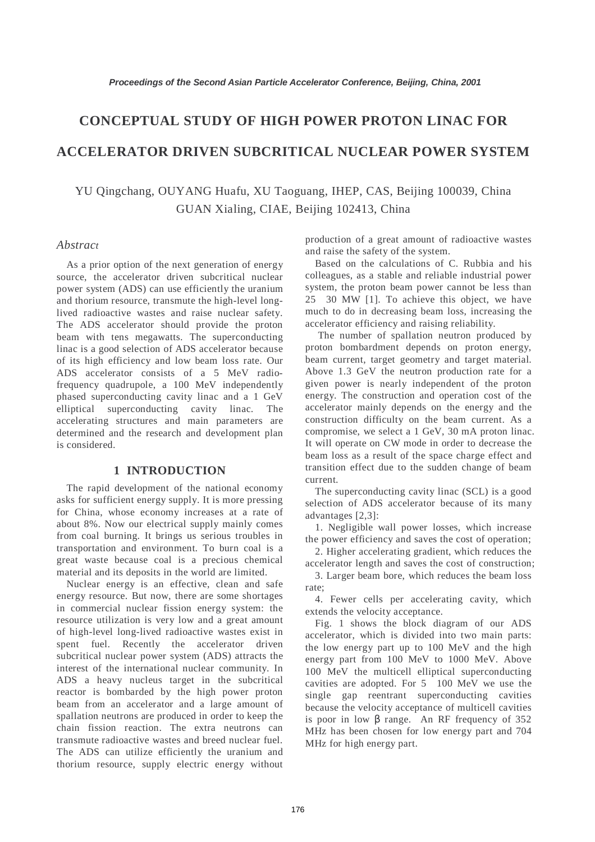# **CONCEPTUAL STUDY OF HIGH POWER PROTON LINAC FOR ACCELERATOR DRIVEN SUBCRITICAL NUCLEAR POWER SYSTEM**

YU Qingchang, OUYANG Huafu, XU Taoguang, IHEP, CAS, Beijing 100039, China GUAN Xialing, CIAE, Beijing 102413, China

# *Abstract*

As a prior option of the next generation of energy source, the accelerator driven subcritical nuclear power system (ADS) can use efficiently the uranium and thorium resource, transmute the high-level longlived radioactive wastes and raise nuclear safety. The ADS accelerator should provide the proton beam with tens megawatts. The superconducting linac is a good selection of ADS accelerator because of its high efficiency and low beam loss rate. Our ADS accelerator consists of a 5 MeV radiofrequency quadrupole, a 100 MeV independently phased superconducting cavity linac and a 1 GeV elliptical superconducting cavity linac. The accelerating structures and main parameters are determined and the research and development plan is considered.

# **1 INTRODUCTION**

The rapid development of the national economy asks for sufficient energy supply. It is more pressing for China, whose economy increases at a rate of about 8%. Now our electrical supply mainly comes from coal burning. It brings us serious troubles in transportation and environment. To burn coal is a great waste because coal is a precious chemical material and its deposits in the world are limited.

Nuclear energy is an effective, clean and safe energy resource. But now, there are some shortages in commercial nuclear fission energy system: the resource utilization is very low and a great amount of high-level long-lived radioactive wastes exist in spent fuel. Recently the accelerator driven subcritical nuclear power system (ADS) attracts the interest of the international nuclear community. In ADS a heavy nucleus target in the subcritical reactor is bombarded by the high power proton beam from an accelerator and a large amount of spallation neutrons are produced in order to keep the chain fission reaction. The extra neutrons can transmute radioactive wastes and breed nuclear fuel. The ADS can utilize efficiently the uranium and thorium resource, supply electric energy without production of a great amount of radioactive wastes and raise the safety of the system.

Based on the calculations of C. Rubbia and his colleagues, as a stable and reliable industrial power system, the proton beam power cannot be less than  $25-30$  MW [1]. To achieve this object, we have much to do in decreasing beam loss, increasing the accelerator efficiency and raising reliability.

 The number of spallation neutron produced by proton bombardment depends on proton energy, beam current, target geometry and target material. Above 1.3 GeV the neutron production rate for a given power is nearly independent of the proton energy. The construction and operation cost of the accelerator mainly depends on the energy and the construction difficulty on the beam current. As a compromise, we select a 1 GeV, 30 mA proton linac. It will operate on CW mode in order to decrease the beam loss as a result of the space charge effect and transition effect due to the sudden change of beam current.

The superconducting cavity linac (SCL) is a good selection of ADS accelerator because of its many advantages [2,3]:

1. Negligible wall power losses, which increase the power efficiency and saves the cost of operation;

2. Higher accelerating gradient, which reduces the accelerator length and saves the cost of construction;

3. Larger beam bore, which reduces the beam loss rate;

4. Fewer cells per accelerating cavity, which extends the velocity acceptance.

Fig. 1 shows the block diagram of our ADS accelerator, which is divided into two main parts: the low energy part up to 100 MeV and the high energy part from 100 MeV to 1000 MeV. Above 100 MeV the multicell elliptical superconducting cavities are adopted. For  $5-100$  MeV we use the single gap reentrant superconducting cavities because the velocity acceptance of multicell cavities is poor in low β range. An RF frequency of 352 MHz has been chosen for low energy part and 704 MHz for high energy part.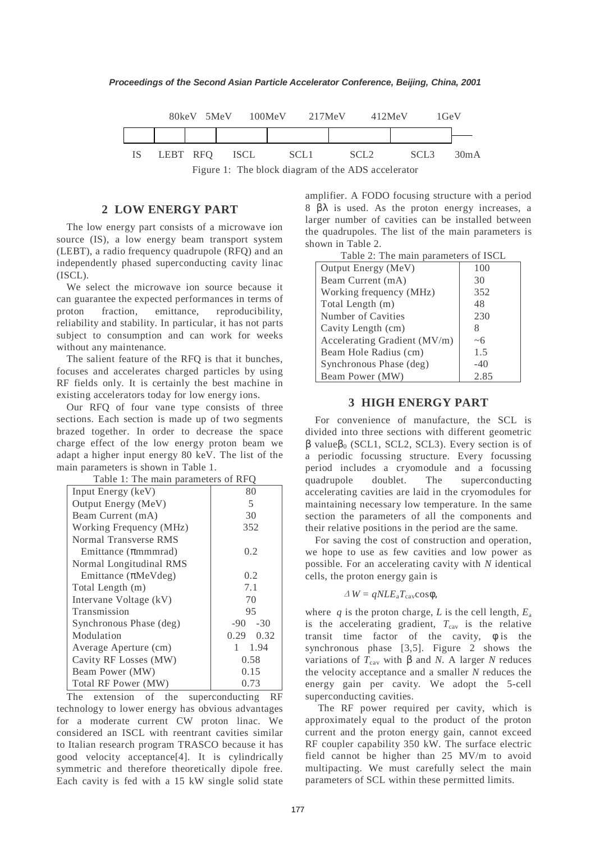

Figure 1: The block diagram of the ADS accelerator

### **2 LOW ENERGY PART**

The low energy part consists of a microwave ion source (IS), a low energy beam transport system (LEBT), a radio frequency quadrupole (RFQ) and an independently phased superconducting cavity linac (ISCL).

We select the microwave ion source because it can guarantee the expected performances in terms of proton fraction, emittance, reproducibility, reliability and stability. In particular, it has not parts subject to consumption and can work for weeks without any maintenance.

The salient feature of the RFQ is that it bunches, focuses and accelerates charged particles by using RF fields only. It is certainly the best machine in existing accelerators today for low energy ions.

Our RFQ of four vane type consists of three sections. Each section is made up of two segments brazed together. In order to decrease the space charge effect of the low energy proton beam we adapt a higher input energy 80 keV. The list of the main parameters is shown in Table 1.

| Input Energy (keV)              | 80            |
|---------------------------------|---------------|
| Output Energy (MeV)             | 5             |
| Beam Current (mA)               | 30            |
| Working Frequency (MHz)         | 352           |
| Normal Transverse RMS           |               |
| Emittance $(\pi$ mmmrad)        | 0.2           |
| Normal Longitudinal RMS         |               |
| Emittance $(\pi \text{MeVdeg})$ | 0.2           |
| Total Length (m)                | 7.1           |
| Intervane Voltage (kV)          | 70            |
| Transmission                    | 95            |
| Synchronous Phase (deg)         | $-90 - -30$   |
| Modulation                      | $0.29 - 0.32$ |
| Average Aperture (cm)           | $1 - 1.94$    |
| Cavity RF Losses (MW)           | 0.58          |
| Beam Power (MW)                 | 0.15          |
| Total RF Power (MW)             | 0.73          |

Table 1: The main parameters of RFQ

The extension of the superconducting RF technology to lower energy has obvious advantages for a moderate current CW proton linac. We considered an ISCL with reentrant cavities similar to Italian research program TRASCO because it has good velocity acceptance[4]. It is cylindrically symmetric and therefore theoretically dipole free. Each cavity is fed with a 15 kW single solid state

amplifier. A FODO focusing structure with a period 8 βλ is used. As the proton energy increases, a larger number of cavities can be installed between the quadrupoles. The list of the main parameters is shown in Table 2.

| $1 \text{ and } 2.$ The main parameters of hock |       |  |  |  |
|-------------------------------------------------|-------|--|--|--|
| Output Energy (MeV)                             | 100   |  |  |  |
| Beam Current (mA)                               | 30    |  |  |  |
| Working frequency (MHz)                         | 352   |  |  |  |
| Total Length (m)                                | 48    |  |  |  |
| Number of Cavities                              | 230   |  |  |  |
| Cavity Length (cm)                              | 8     |  |  |  |
| Accelerating Gradient (MV/m)                    | ~1    |  |  |  |
| Beam Hole Radius (cm)                           | 1.5   |  |  |  |
| Synchronous Phase (deg)                         | $-40$ |  |  |  |
| Beam Power (MW)                                 | 2.85  |  |  |  |

# Table 2: The main parameters of ISCI

#### **3 HIGH ENERGY PART**

For convenience of manufacture, the SCL is divided into three sections with different geometric  $β$  value $β_0$  (SCL1, SCL2, SCL3). Every section is of a periodic focussing structure. Every focussing period includes a cryomodule and a focussing quadrupole doublet. The superconducting accelerating cavities are laid in the cryomodules for maintaining necessary low temperature. In the same section the parameters of all the components and their relative positions in the period are the same.

For saving the cost of construction and operation, we hope to use as few cavities and low power as possible. For an accelerating cavity with *N* identical cells, the proton energy gain is

$$
\Delta W = qNLE_{a}T_{cav}cos\phi,
$$

where  $q$  is the proton charge,  $L$  is the cell length,  $E_a$ is the accelerating gradient,  $T_{\text{cav}}$  is the relative transit time factor of the cavity,  $\phi$  is the synchronous phase [3,5]. Figure 2 shows the variations of  $T_{\text{cav}}$  with β and *N*. A larger *N* reduces the velocity acceptance and a smaller *N* reduces the energy gain per cavity. We adopt the 5-cell superconducting cavities.

 The RF power required per cavity, which is approximately equal to the product of the proton current and the proton energy gain, cannot exceed RF coupler capability 350 kW. The surface electric field cannot be higher than 25 MV/m to avoid multipacting. We must carefully select the main parameters of SCL within these permitted limits.